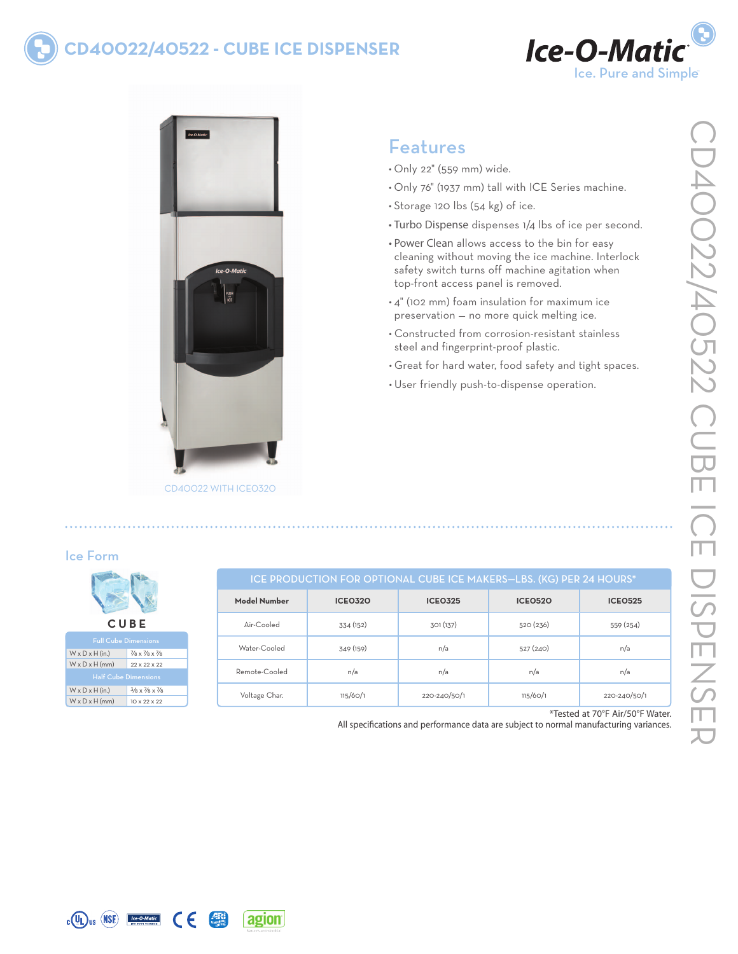## **cd40022/40522 - cube Ice Dispenser**





CD40022 with ICE0320

## Features

- • Only 22" (559 mm) wide.
- • Only 76" (1937 mm) tall with ICE Series machine.
- Storage 120 lbs (54 kg) of ice.
- Turbo Dispense dispenses 1/4 lbs of ice per second.
- Power Clean allows access to the bin for easy cleaning without moving the ice machine. Interlock safety switch turns off machine agitation when top-front access panel is removed.
- • 4" (102 mm) foam insulation for maximum ice preservation — no more quick melting ice.
- • Constructed from corrosion-resistant stainless steel and fingerprint-proof plastic.
- • Great for hard water, food safety and tight spaces.
- • User friendly push-to-dispense operation.

#### Ice Form

| <b>CUBE</b>                 |                                                     |  |  |
|-----------------------------|-----------------------------------------------------|--|--|
| <b>Full Cube Dimensions</b> |                                                     |  |  |
| $W \times D \times H$ (in.) | $\frac{7}{8} \times \frac{7}{8} \times \frac{7}{8}$ |  |  |
| $W \times D \times H$ (mm)  | 22 × 22 × 22                                        |  |  |

Half Cube Dim  $W \times D \times H$  (in.)  $3/8 \times 7/8 \times 7/8$  $W \times D \times H$  (mm) 10 x 22 x 22

| ICE PRODUCTION FOR OPTIONAL CUBE ICE MAKERS-LBS. (KG) PER 24 HOURS* |                |                |                |                |
|---------------------------------------------------------------------|----------------|----------------|----------------|----------------|
| Model Number                                                        | <b>ICE0320</b> | <b>ICE0325</b> | <b>ICEO520</b> | <b>ICEO525</b> |
| $\Delta$ ir-Cooled                                                  | 334 (152)      | 301 (137)      | 520(236)       | 559 (254)      |
| Water-Cooled                                                        | 349 (159)      | n/a            | 527(240)       | n/a            |
| Remote-Cooled                                                       | n/a            | n/a            | n/a            | n/a            |
| Voltage Char.                                                       | 115/60/1       | 220-240/50/1   | 115/60/1       | 220-240/50/1   |

\*Tested at 70°F Air/50°F Water.

All specifications and performance data are subject to normal manufacturing variances.